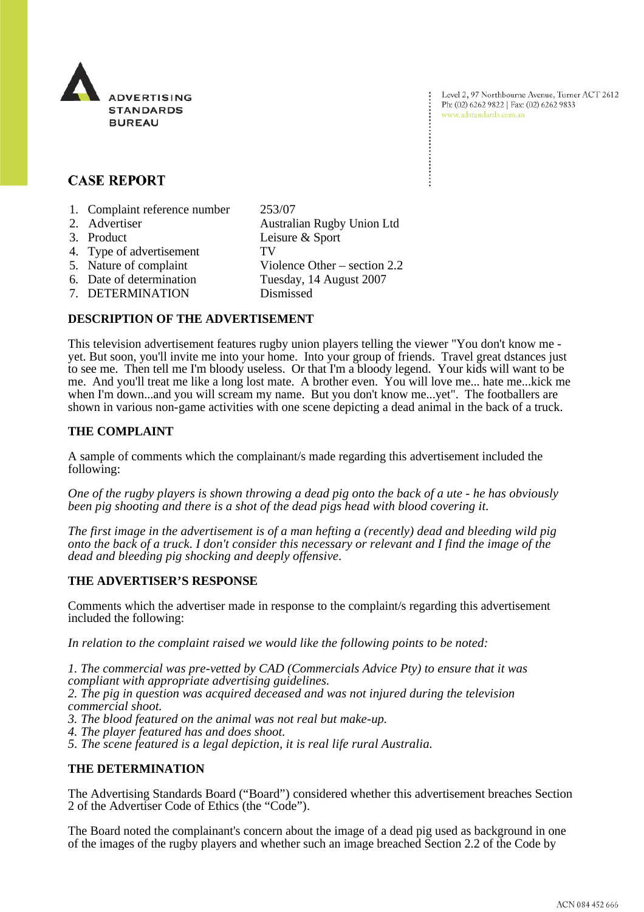

Level 2, 97 Northbourne Avenue, Turner ACT 2612 Ph: (02) 6262 9822 | Fax: (02) 6262 9833 www.adstandards.com.au

# **CASE REPORT**

- 1. Complaint reference number 253/07
- 2. Advertiser **Australian Rugby Union Ltd** 3. Product Leisure & Sport 4. Type of advertisement TV 5. Nature of complaint Violence Other – section 2.2 6. Date of determination Tuesday, 14 August 2007 7. DETERMINATION Dismissed

### **DESCRIPTION OF THE ADVERTISEMENT**

This television advertisement features rugby union players telling the viewer "You don't know me yet. But soon, you'll invite me into your home. Into your group of friends. Travel great dstances just to see me. Then tell me I'm bloody useless. Or that I'm a bloody legend. Your kids will want to be me. And you'll treat me like a long lost mate. A brother even. You will love me... hate me...kick me when I'm down...and you will scream my name. But you don't know me...yet". The footballers are shown in various non-game activities with one scene depicting a dead animal in the back of a truck.

### **THE COMPLAINT**

A sample of comments which the complainant/s made regarding this advertisement included the following:

*One of the rugby players is shown throwing a dead pig onto the back of a ute - he has obviously been pig shooting and there is a shot of the dead pigs head with blood covering it.* 

*The first image in the advertisement is of a man hefting a (recently) dead and bleeding wild pig onto the back of a truck. I don't consider this necessary or relevant and I find the image of the dead and bleeding pig shocking and deeply offensive*.

#### **THE ADVERTISER'S RESPONSE**

Comments which the advertiser made in response to the complaint/s regarding this advertisement included the following:

*In relation to the complaint raised we would like the following points to be noted:*

*1. The commercial was pre-vetted by CAD (Commercials Advice Pty) to ensure that it was compliant with appropriate advertising guidelines.*

*2. The pig in question was acquired deceased and was not injured during the television commercial shoot.*

*3. The blood featured on the animal was not real but make-up.*

*4. The player featured has and does shoot.* 

*5. The scene featured is a legal depiction, it is real life rural Australia.*

## **THE DETERMINATION**

The Advertising Standards Board ("Board") considered whether this advertisement breaches Section 2 of the Advertiser Code of Ethics (the "Code").

The Board noted the complainant's concern about the image of a dead pig used as background in one of the images of the rugby players and whether such an image breached Section 2.2 of the Code by